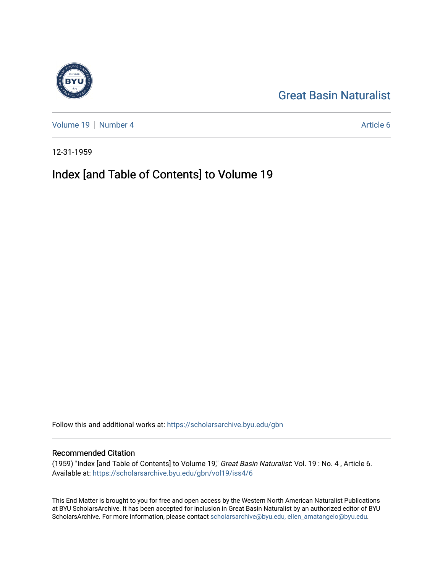## [Great Basin Naturalist](https://scholarsarchive.byu.edu/gbn)

[Volume 19](https://scholarsarchive.byu.edu/gbn/vol19) [Number 4](https://scholarsarchive.byu.edu/gbn/vol19/iss4) Article 6

12-31-1959

## Index [and Table of Contents] to Volume 19

Follow this and additional works at: [https://scholarsarchive.byu.edu/gbn](https://scholarsarchive.byu.edu/gbn?utm_source=scholarsarchive.byu.edu%2Fgbn%2Fvol19%2Fiss4%2F6&utm_medium=PDF&utm_campaign=PDFCoverPages) 

#### Recommended Citation

(1959) "Index [and Table of Contents] to Volume 19," Great Basin Naturalist: Vol. 19 : No. 4 , Article 6. Available at: [https://scholarsarchive.byu.edu/gbn/vol19/iss4/6](https://scholarsarchive.byu.edu/gbn/vol19/iss4/6?utm_source=scholarsarchive.byu.edu%2Fgbn%2Fvol19%2Fiss4%2F6&utm_medium=PDF&utm_campaign=PDFCoverPages)

This End Matter is brought to you for free and open access by the Western North American Naturalist Publications at BYU ScholarsArchive. It has been accepted for inclusion in Great Basin Naturalist by an authorized editor of BYU ScholarsArchive. For more information, please contact [scholarsarchive@byu.edu, ellen\\_amatangelo@byu.edu.](mailto:scholarsarchive@byu.edu,%20ellen_amatangelo@byu.edu)

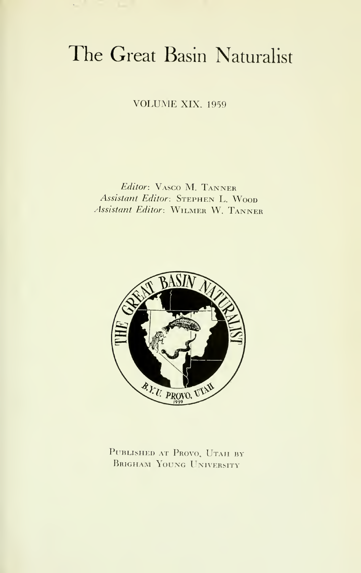# The Great Basin Naturalist

VOLUME XIX. <sup>1959</sup>

Editor: VAsco M. Tanner Assistant Editor: STEPHEN L. WOOD Assistant Editor: Wilmer W. Tanner



PUBLISHED AT PROVO, UTAH BY Brigham Young University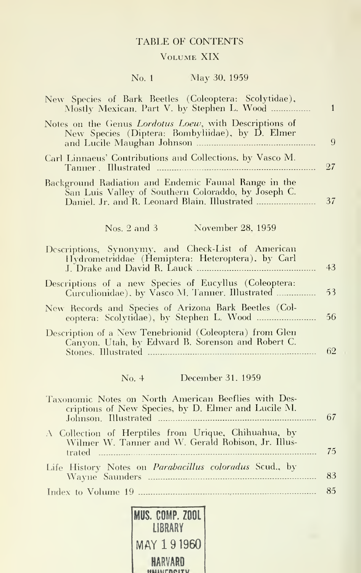#### TABLE OF CONTENTS

#### Volume XIX

### No. <sup>1</sup> May 30, 1959

| New Species of Bark Beetles (Coleoptera: Scolytidae),<br>Mostly Mexican. Part V. by Stephen L. Wood          | 1  |
|--------------------------------------------------------------------------------------------------------------|----|
| Notes on the Genus Lordotus Loew, with Descriptions of<br>New Species (Diptera: Bombyliidae), by D. Elmer    | 9  |
| Carl Linnaeus' Contributions and Collections, by Vasco M.                                                    | 27 |
| Background Radiation and Endemic Faunal Range in the<br>San Luis Valley of Southern Coloraddo, by Joseph C.  | 37 |
| November 28, 1959<br>Nos. $2$ and $3$                                                                        |    |
| Descriptions, Synonymy, and Check-List of American<br>Hydrometriddae (Hemiptera: Heteroptera), by Carl       | 43 |
| Descriptions of a new Species of Eucyllus (Coleoptera:<br>Curculionidae), by Vasco M. Tanner. Illustrated    | 53 |
| New Records and Species of Arizona Bark Beetles (Col-                                                        | 56 |
| Description of a New Tenebrionid (Coleoptera) from Glen<br>Canyon. Utah, by Edward B. Sorenson and Robert C. | 62 |
| No. 4 December 31, 1959                                                                                      |    |
| Taxonomic Notes on North American Beeflies with Des-<br>criptions of New Species, by D. Elmer and Lucile M.  | 67 |
| A Collection of Herptiles from Urique, Chihuahua, by<br>Wilmer W. Tanner and W. Gerald Robison, Jr. Illus-   | 75 |
| Life History Notes on Parabacillus coloradus Scud., by                                                       | 83 |
|                                                                                                              | 85 |

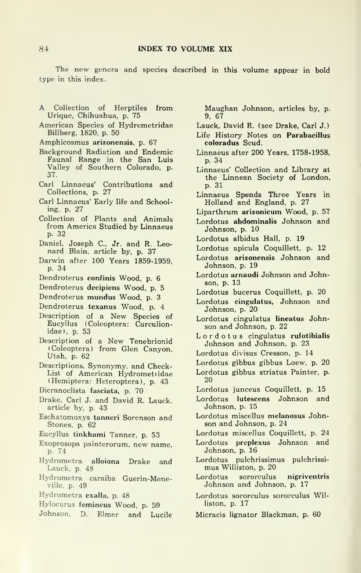The new genera and species described in this volume appear in bold type in this index.

- A Collection of Herptiles from Urique, Chihuahua, p. 75
- American Species of Hydremetridae Billberg, 1820, p. 50

Amphicosmus arizonensis, p. 67

- Background Radiation and Endemic Faunal Range in the San Luis Valley of Southern Colorado, p. 37.
- Carl Linnaeus' Contributions and Collections, p. 27
- Carl Linnaeus' Early life and Schooling, p. 27
- Collection of Plants and Animals from America Studied by Linnaeus p. 32
- Daniel, Joseph C., Jr. and R. Leonard Blain, article by, p. 37
- Darwin after 100 Years 1859-1959, p. 34
- Dendroterus confinis Wood, p. 6
- Dendroterus decipiens Wood, p. 5
- Dendroterus mundus Wood, p. 3
- Dendroterus texanus Wood, p. 4
- Description of <sup>a</sup> New Species of Eucyllus (Coleoptera: Curculionidae), p. 53
- Description of <sup>a</sup> New Tenebrionid (Coleoptera) from Glen Canyon, Utah, p. 62
- Descriptions, Synonymy, and Check-List of American Hydrometiidae (Hemiptera: Heteroptera), p. 43
- Dicranoclista fasciata, p. 70
- Drake, Carl J. and David R. Lauck. article by, p. 43
- Eschatomoxys tanneri Sorenson and Stones, p. 62
- Eucyllus tinkhami Tanner, p. 53
- Exoprosopa painterorum, new name, p. 74
- Hydrometra alloiona Drake and Lauck, p. 48
- Hydrometra caraiba Guerin-Meneville, p. 49
- Hydrometra exalla, p. 48
- Hylocurus femineus Wood, p. 59
- Johnson, D. Elmer and Lucile

Maughan Johnson, articles by, p. 9, 67

- Lauck, David R. (see Drake, Carl J.)
- Life History Notes on Parabacillus coloradus Scud.
- Linnaeus after 200 Years, 1758-1958, p. 34
- Linnaeus' Collection and Library at the Linnean Society of London, p. 31
- Linnaeus Spends Three Years in Holland and England, p. 27
- Liparthrum arizonicum Wood, p. 57
- Lordotus abdominalis Johnson and Johnson, p. 10
- Lordotus albidus Hall, p. 19
- Lordotus apicula Coquillett, p. 12
- Lordotus arizonensis Johnson and Johnson, p. 19
- Lordotus arnaudi Johnson and Johnson, p. 13
- Lordotus bucerus Coquillett, p. 20
- Lordotus cingulatus, Johnson and Johnson, p. 20
- Lordotus cingulatus lineatus Johnson and Johnson, p. 22
- Lordotus cingulatus rufotibialis Johnson and Johnson, p. 23
- Lordotus divisus Cresson, p. 14
- Lordotus gibbus gibbus Loew, p. 20
- Lordotus gibbus striatus Painter, p. 20
- Lordotus junceus Coquillett, p. 15
- Lordotus lutescens Johnson and Johnson, p. 15
- Lordotus miscellus melanosus Johnson and Johnson, p. 24
- Lordotus miscellus Coquillett, p. 24
- Lordotus preplexus Johnson and Johnson, p. 16
- Lordotus pulchrissimus pulchrissi mus Williston, p. 20
- Lordotus sororculus nigriventris Johnson and Johnson, p. 17
- Lordotus sororculus sororculus Williston, p. 17
- Micracis lignator Blackman, p. 60